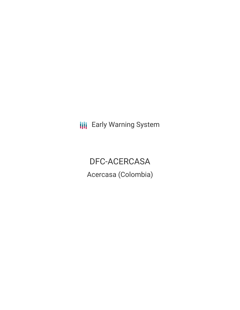**III** Early Warning System

DFC-ACERCASA Acercasa (Colombia)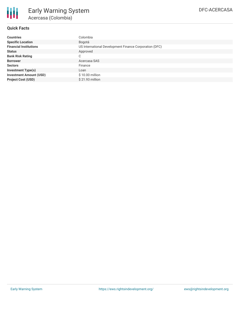

# **Quick Facts**

| <b>Countries</b>               | Colombia                                               |
|--------------------------------|--------------------------------------------------------|
| <b>Specific Location</b>       | Bogotá                                                 |
| <b>Financial Institutions</b>  | US International Development Finance Corporation (DFC) |
| <b>Status</b>                  | Approved                                               |
| <b>Bank Risk Rating</b>        | С                                                      |
| <b>Borrower</b>                | Acercasa SAS                                           |
| <b>Sectors</b>                 | Finance                                                |
| <b>Investment Type(s)</b>      | Loan                                                   |
| <b>Investment Amount (USD)</b> | \$10.00 million                                        |
| <b>Project Cost (USD)</b>      | \$21.93 million                                        |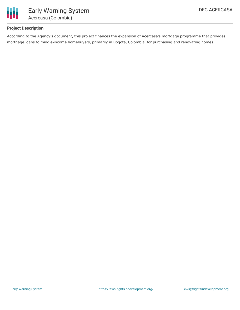

# **Project Description**

According to the Agency's document, this project finances the expansion of Acercasa's mortgage programme that provides mortgage loans to middle-income homebuyers, primarily in Bogotá, Colombia, for purchasing and renovating homes.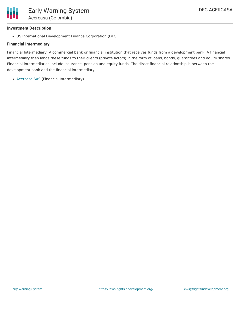

#### **Investment Description**

US International Development Finance Corporation (DFC)

### **Financial Intermediary**

Financial Intermediary: A commercial bank or financial institution that receives funds from a development bank. A financial intermediary then lends these funds to their clients (private actors) in the form of loans, bonds, guarantees and equity shares. Financial intermediaries include insurance, pension and equity funds. The direct financial relationship is between the development bank and the financial intermediary.

[Acercasa](file:///actor/2243/) SAS (Financial Intermediary)